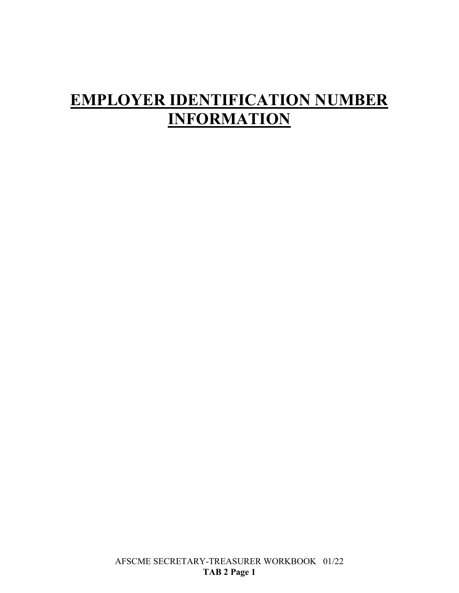## **EMPLOYER IDENTIFICATION NUMBER INFORMATION**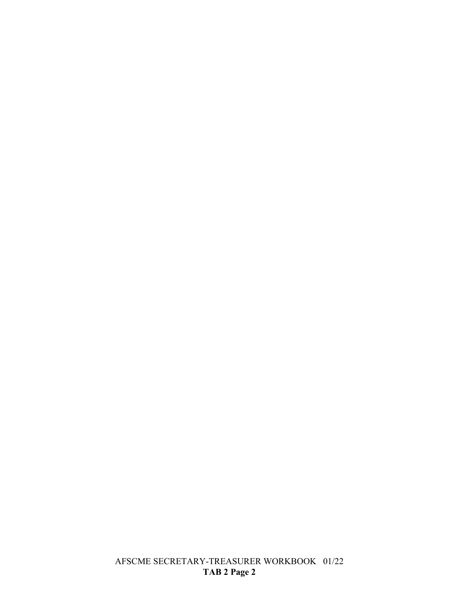AFSCME SECRETARY-TREASURER WORKBOOK 01/22 **TAB 2 Page 2**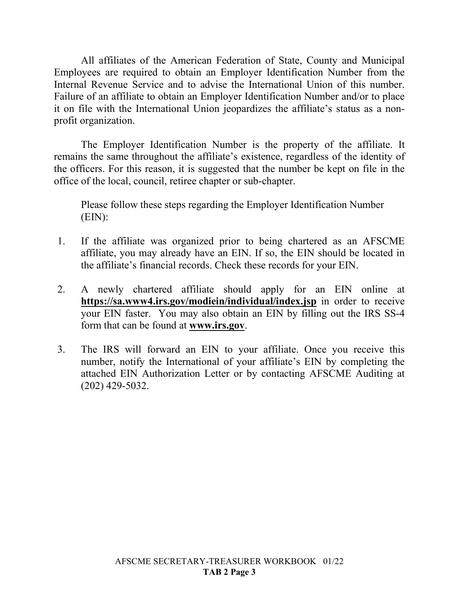All affiliates of the American Federation of State, County and Municipal Employees are required to obtain an Employer Identification Number from the Internal Revenue Service and to advise the International Union of this number. Failure of an affiliate to obtain an Employer Identification Number and/or to place it on file with the International Union jeopardizes the affiliate's status as a nonprofit organization.

The Employer Identification Number is the property of the affiliate. It remains the same throughout the affiliate's existence, regardless of the identity of the officers. For this reason, it is suggested that the number be kept on file in the office of the local, council, retiree chapter or sub-chapter.

Please follow these steps regarding the Employer Identification Number (EIN):

- 1. If the affiliate was organized prior to being chartered as an AFSCME affiliate, you may already have an EIN. If so, the EIN should be located in the affiliate's financial records. Check these records for your EIN.
- 2. A newly chartered affiliate should apply for an EIN online at **<https://sa.www4.irs.gov/modiein/individual/index.jsp>** in order to receive your EIN faster. You may also obtain an EIN by filling out the IRS SS-4 form that can be found at **[www.irs.gov](http://www.irs.gov/)**.
- 3. The IRS will forward an EIN to your affiliate. Once you receive this number, notify the International of your affiliate's EIN by completing the attached EIN Authorization Letter or by contacting AFSCME Auditing at (202) 429-5032.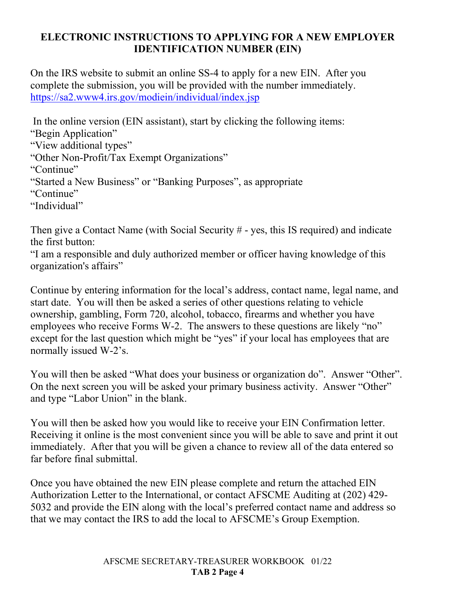## **ELECTRONIC INSTRUCTIONS TO APPLYING FOR A NEW EMPLOYER IDENTIFICATION NUMBER (EIN)**

On the IRS website to submit an online SS-4 to apply for a new EIN. After you complete the submission, you will be provided with the number immediately. <https://sa2.www4.irs.gov/modiein/individual/index.jsp>

In the online version (EIN assistant), start by clicking the following items: "Begin Application" "View additional types" "Other Non-Profit/Tax Exempt Organizations" "Continue" "Started a New Business" or "Banking Purposes", as appropriate "Continue" "Individual"

Then give a Contact Name (with Social Security # - yes, this IS required) and indicate the first button:

"I am a responsible and duly authorized member or officer having knowledge of this organization's affairs"

Continue by entering information for the local's address, contact name, legal name, and start date. You will then be asked a series of other questions relating to vehicle ownership, gambling, Form 720, alcohol, tobacco, firearms and whether you have employees who receive Forms W-2. The answers to these questions are likely "no" except for the last question which might be "yes" if your local has employees that are normally issued W-2's.

You will then be asked "What does your business or organization do". Answer "Other". On the next screen you will be asked your primary business activity. Answer "Other" and type "Labor Union" in the blank.

You will then be asked how you would like to receive your EIN Confirmation letter. Receiving it online is the most convenient since you will be able to save and print it out immediately. After that you will be given a chance to review all of the data entered so far before final submittal.

Once you have obtained the new EIN please complete and return the attached EIN Authorization Letter to the International, or contact AFSCME Auditing at (202) 429- 5032 and provide the EIN along with the local's preferred contact name and address so that we may contact the IRS to add the local to AFSCME's Group Exemption.